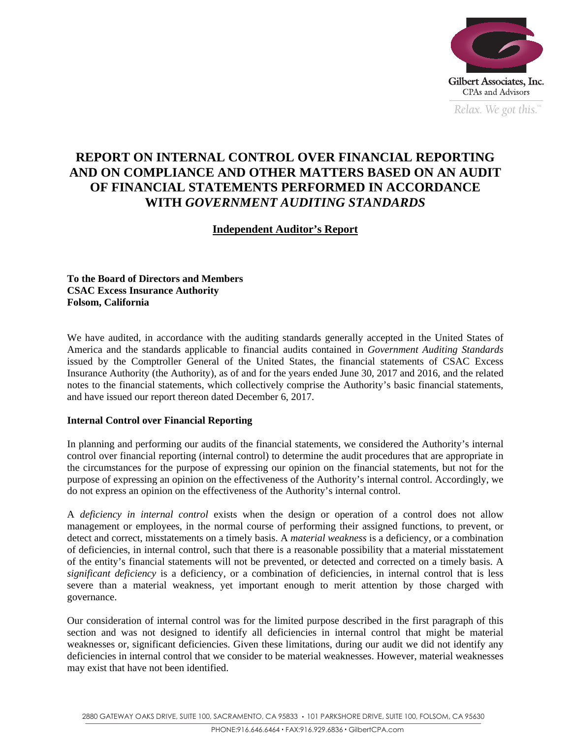

# *Relax. We got this. <sup>Me</sup>*

# **REPORT ON INTERNAL CONTROL OVER FINANCIAL REPORTING AND ON COMPLIANCE AND OTHER MATTERS BASED ON AN AUDIT OF FINANCIAL STATEMENTS PERFORMED IN ACCORDANCE WITH** *GOVERNMENT AUDITING STANDARDS*

## **Independent Auditor's Report**

**To the Board of Directors and Members CSAC Excess Insurance Authority Folsom, California** 

We have audited, in accordance with the auditing standards generally accepted in the United States of America and the standards applicable to financial audits contained in *Government Auditing Standards* issued by the Comptroller General of the United States, the financial statements of CSAC Excess Insurance Authority (the Authority), as of and for the years ended June 30, 2017 and 2016, and the related notes to the financial statements, which collectively comprise the Authority's basic financial statements, and have issued our report thereon dated December 6, 2017.

## **Internal Control over Financial Reporting**

In planning and performing our audits of the financial statements, we considered the Authority's internal control over financial reporting (internal control) to determine the audit procedures that are appropriate in the circumstances for the purpose of expressing our opinion on the financial statements, but not for the purpose of expressing an opinion on the effectiveness of the Authority's internal control. Accordingly, we do not express an opinion on the effectiveness of the Authority's internal control.

A *deficiency in internal control* exists when the design or operation of a control does not allow management or employees, in the normal course of performing their assigned functions, to prevent, or detect and correct, misstatements on a timely basis. A *material weakness* is a deficiency, or a combination of deficiencies, in internal control, such that there is a reasonable possibility that a material misstatement of the entity's financial statements will not be prevented, or detected and corrected on a timely basis. A *significant deficiency* is a deficiency, or a combination of deficiencies, in internal control that is less severe than a material weakness, yet important enough to merit attention by those charged with governance.

Our consideration of internal control was for the limited purpose described in the first paragraph of this section and was not designed to identify all deficiencies in internal control that might be material weaknesses or, significant deficiencies. Given these limitations, during our audit we did not identify any deficiencies in internal control that we consider to be material weaknesses. However, material weaknesses may exist that have not been identified.

2880 GATEWAY OAKS DRIVE, SUITE 100, SACRAMENTO, CA 95833 · 101 PARKSHORE DRIVE, SUITE 100, FOLSOM, CA 95630